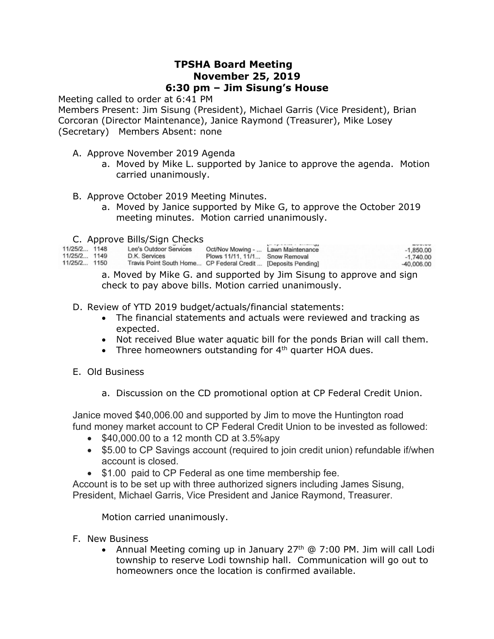## **TPSHA Board Meeting November 25, 2019 6:30 pm – Jim Sisung's House**

Meeting called to order at 6:41 PM

Members Present: Jim Sisung (President), Michael Garris (Vice President), Brian Corcoran (Director Maintenance), Janice Raymond (Treasurer), Mike Losey (Secretary) Members Absent: none

- A. Approve November 2019 Agenda
	- a. Moved by Mike L. supported by Janice to approve the agenda. Motion carried unanimously.
- B. Approve October 2019 Meeting Minutes.
	- a. Moved by Janice supported by Mike G, to approve the October 2019 meeting minutes. Motion carried unanimously.
- C. Approve Bills/Sign Checks

| 11/25/2 1148<br>11/25/2 1149<br>11/25/2 1150 | Lee's Outdoor Services<br>D.K. Services<br>Travis Point South Home CP Federal Credit  [Deposits Pending] | Oct/Nov Mowing -  Lawn Maintenance<br>Plows 11/11, 11/1 Snow Removal | $L = \frac{1}{2}$ and $L = \frac{1}{2}$ and $L = \frac{1}{2}$ and $L = \frac{1}{2}$ and $L = \frac{1}{2}$ and $L = \frac{1}{2}$ and $L = \frac{1}{2}$ and $L = \frac{1}{2}$ and $L = \frac{1}{2}$ and $L = \frac{1}{2}$ and $L = \frac{1}{2}$ and $L = \frac{1}{2}$ and $L = \frac{1}{2}$ and $L = \frac{1}{2}$ a | -------<br>$-1.850.00$<br>$-1,740.00$<br>$-40,006,00$ |
|----------------------------------------------|----------------------------------------------------------------------------------------------------------|----------------------------------------------------------------------|-------------------------------------------------------------------------------------------------------------------------------------------------------------------------------------------------------------------------------------------------------------------------------------------------------------------|-------------------------------------------------------|
|                                              |                                                                                                          |                                                                      |                                                                                                                                                                                                                                                                                                                   |                                                       |

a. Moved by Mike G. and supported by Jim Sisung to approve and sign check to pay above bills. Motion carried unanimously.

D. Review of YTD 2019 budget/actuals/financial statements:

- The financial statements and actuals were reviewed and tracking as expected.
- Not received Blue water aquatic bill for the ponds Brian will call them.
- Three homeowners outstanding for  $4<sup>th</sup>$  quarter HOA dues.
- E. Old Business
	- a. Discussion on the CD promotional option at CP Federal Credit Union.

Janice moved \$40,006.00 and supported by Jim to move the Huntington road fund money market account to CP Federal Credit Union to be invested as followed:

- $$40,000.00$  to a 12 month CD at 3.5%apy
- \$5.00 to CP Savings account (required to join credit union) refundable if/when account is closed.
- \$1.00 paid to CP Federal as one time membership fee.

Account is to be set up with three authorized signers including James Sisung, President, Michael Garris, Vice President and Janice Raymond, Treasurer.

Motion carried unanimously.

- F. New Business
	- Annual Meeting coming up in January  $27<sup>th</sup>$  @ 7:00 PM. Jim will call Lodi township to reserve Lodi township hall. Communication will go out to homeowners once the location is confirmed available.